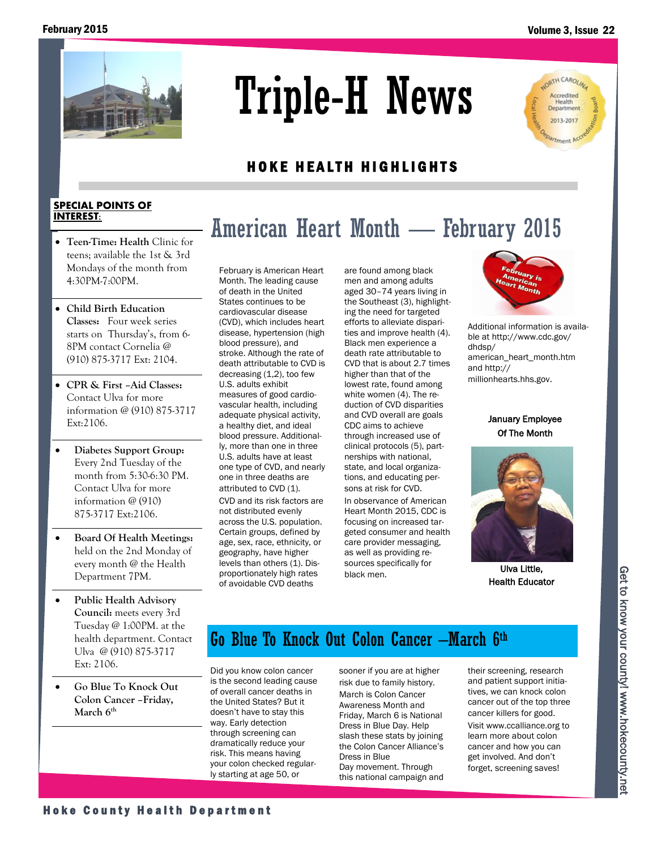

# Triple-H News

## LORTH CAROLIN Accredited Department 2013-2017 *Irtment*

## HOKE HEALTH HIGHLIGHTS

#### **SPECIAL POINTS OF INTEREST:**

- **Teen-Time: Health** Clinic for teens; available the 1st & 3rd Mondays of the month from 4:30PM-7:00PM.
- **Child Birth Education Classes:** Four week series starts on Thursday's, from 6- 8PM contact Cornelia @ (910) 875-3717 Ext: 2104.
- **CPR & First –Aid Classes:**  Contact Ulva for more information @ (910) 875-3717 Ext:2106.
- **Diabetes Support Group:**  Every 2nd Tuesday of the month from 5:30-6:30 PM. Contact Ulva for more information @ (910) 875-3717 Ext:2106.
- **Board Of Health Meetings:**  held on the 2nd Monday of every month @ the Health Department 7PM.
- **Public Health Advisory Council:** meets every 3rd Tuesday @ 1:00PM. at the health department. Contact Ulva @ (910) 875-3717 Ext: 2106.
- **Go Blue To Knock Out Colon Cancer –Friday, March 6th**

February is American Heart Month. The leading cause of death in the United States continues to be cardiovascular disease (CVD), which includes heart disease, hypertension (high blood pressure), and stroke. Although the rate of death attributable to CVD is decreasing (1,2), too few U.S. adults exhibit measures of good cardiovascular health, including adequate physical activity, a healthy diet, and ideal blood pressure. Additionally, more than one in three U.S. adults have at least one type of CVD, and nearly one in three deaths are attributed to CVD (1). CVD and its risk factors are not distributed evenly across the U.S. population. Certain groups, defined by age, sex, race, ethnicity, or geography, have higher levels than others (1). Disproportionately high rates of avoidable CVD deaths

are found among black men and among adults aged 30–74 years living in the Southeast (3), highlighting the need for targeted efforts to alleviate disparities and improve health (4). Black men experience a death rate attributable to CVD that is about 2.7 times higher than that of the lowest rate, found among white women (4). The reduction of CVD disparities and CVD overall are goals CDC aims to achieve through increased use of clinical protocols (5), partnerships with national, state, and local organizations, and educating persons at risk for CVD.

American Heart Month — February 2015

In observance of American Heart Month 2015, CDC is focusing on increased targeted consumer and health care provider messaging, as well as providing resources specifically for black men.



Additional information is available at http://www.cdc.gov/ dhdsp/ american\_heart\_month.htm and http:// millionhearts.hhs.gov.

January Employee Of The Month



Ulva Little, Health Educator

# Go Blue To Knock Out Colon Cancer –March 6th

Did you know colon cancer is the second leading cause of overall cancer deaths in the United States? But it doesn't have to stay this way. Early detection through screening can dramatically reduce your risk. This means having your colon checked regularly starting at age 50, or Health Advisory<br>
Countil metes every 3rd<br>
Countil metes every 3rd<br>
Tuesday @ 1:00PM, at the<br>
leadth department. Contact<br>
Universe every 3rd<br>
Lines are the second leading cause<br>
Ext: 210.6.<br>
Ext: 210.6.<br>
Co Blue To Knock O

sooner if you are at higher risk due to family history. March is Colon Cancer Awareness Month and Friday, March 6 is National Dress in Blue Day. Help slash these stats by joining the Colon Cancer Alliance's Dress in Blue Day movement. Through this national campaign and their screening, research and patient support initiatives, we can knock colon cancer out of the top three cancer killers for good. Visit www.ccalliance.org to learn more about colon cancer and how you can get involved. And don't forget, screening saves!